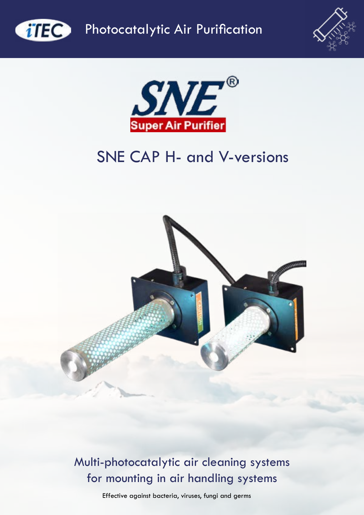

**CITEC** Photocatalytic Air Purification





# SNE CAP H- and V-versions



Multi-photocatalytic air cleaning systems for mounting in air handling systems

Effective against bacteria, viruses, fungi and germs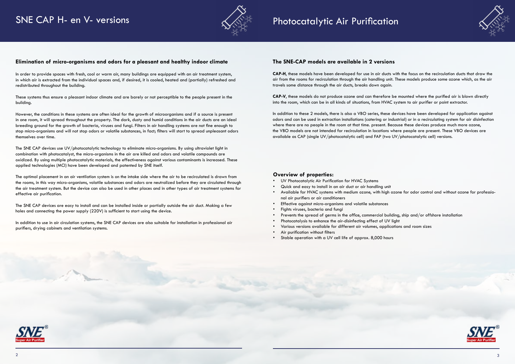### SNE CAP H- en V- versions



#### **Elimination of micro-organisms and odors for a pleasant and healthy indoor climate**

In order to provide spaces with fresh, cool or warm air, many buildings are equipped with an air treatment system, in which air is extracted from the individual spaces and, if desired, it is cooled, heated and (partially) refreshed and redistributed throughout the building.

These systems thus ensure a pleasant indoor climate and are barely or not perceptible to the people present in the building.

However, the conditions in these systems are often ideal for the growth of microorganisms and if a source is present in one room, it will spread throughout the property. The dark, dusty and humid conditions in the air ducts are an ideal breeding ground for the growth of bacteria, viruses and fungi. Filters in air handling systems are not fine enough to stop micro-organisms and will not stop odors or volatile substances, in fact; filters will start to spread unpleasant odors themselves over time.

- UV Photocatalytic Air Purification for HVAC Systems
- Quick and easy to install in an air duct or air handling unit • Available for HVAC systems with medium ozone, with high ozone for odor control and without ozone for professional air purifiers or air conditioners
- Effective against micro-organisms and volatile substances
- Fights viruses, bacteria and fungi
- Prevents the spread of germs in the office, commercial building, ship and/or offshore installation
- Photocatalysis to enhance the air-disinfecting effect of UV light
- Various versions available for different air volumes, applications and room sizes
- Air purification without filters
- Stable operation with a UV cell life of approx. 8,000 hours







The SNE CAP devices use UV/photocatalytic technology to eliminate micro-organisms. By using ultraviolet light in combination with photocatalyst, the micro-organisms in the air are killed and odors and volatile compounds are oxidized. By using multiple photocatalytic materials, the effectiveness against various contaminants is increased. These applied technologies (MCI) have been developed and patented by SNE itself.

The optimal placement in an air ventilation system is on the intake side where the air to be recirculated is drawn from the rooms, in this way micro-organisms, volatile substances and odors are neutralized before they are circulated through the air treatment system. But the device can also be used in other places and in other types of air treatment systems for effective air purification.

The SNE CAP devices are easy to install and can be installed inside or partially outside the air duct. Making a few holes and connecting the power supply (220V) is sufficient to start using the device.

In addition to use in air circulation systems, the SNE CAP devices are also suitable for installation in professional air purifiers, drying cabinets and ventilation systems.

#### **Overview of properties:**

### Photocatalytic Air Purification

#### **The SNE-CAP models are available in 2 versions**

**CAP-H**, these models have been developed for use in air ducts with the focus on the recirculation ducts that draw the air from the rooms for recirculation through the air handling unit. These models produce some ozone which, as the air travels some distance through the air ducts, breaks down again.

**CAP-V**, these models do not produce ozone and can therefore be mounted where the purified air is blown directly into the room, which can be in all kinds of situations, from HVAC system to air purifier or point extractor.

In addition to these 2 models, there is also a VBO series, these devices have been developed for application against odors and can be used in extraction installations (catering or industrial) or in a recirculating system for air disinfection where there are no people in the room at that time. present. Because these devices produce much more ozone, the VBO models are not intended for recirculation in locations where people are present. These VBO devices are available as CAP (single UV/photocatalytic cell) and FAP (two UV/photocatalytic cell) versions.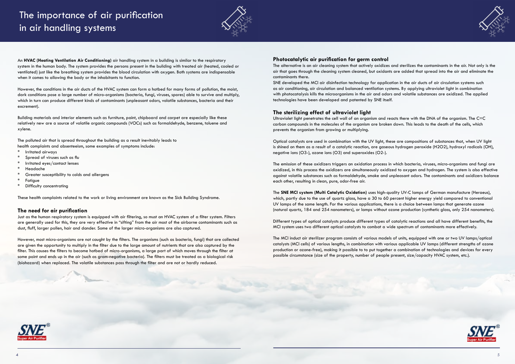An **HVAC (Heating Ventilation Air Conditioning)** air handling system in a building is similar to the respiratory system in the human body. The system provides the persons present in the building with treated air (heated, cooled or ventilated) just like the breathing system provides the blood circulation with oxygen. Both systems are indispensable when it comes to allowing the body or the inhabitants to function.





However, the conditions in the air ducts of the HVAC system can form a hotbed for many forms of pollution, the moist, dark conditions pose a large number of micro-organisms (bacteria, fungi, viruses, spores) able to survive and multiply, which in turn can produce different kinds of contaminants (unpleasant odors, volatile substances, bacteria and their excrement).

Building materials and interior elements such as furniture, paint, chipboard and carpet are especially like these relatively new are a source of volatile organic compounds (VOCs) such as formaldehyde, benzene, toluene and xylene.

The polluted air that is spread throughout the building as a result inevitably leads to health complaints and absenteeism, some examples of symptoms include:

- Irritated airways
- \* Spread of viruses such as flu
- \* Irritated eyes/contact lenses
- **Headache**
- Greater susceptibility to colds and allergens
- **Fatigue**
- Difficulty concentrating

These health complaints related to the work or living environment are known as the Sick Building Syndrome.

#### **The need for air purification**

Just as the human respiratory system is equipped with air filtering, so must an HVAC system of a filter system. Filters are generally used for this, they are very effective in "sifting" from the air most of the airborne contaminants such as dust, fluff, larger pollen, hair and dander. Some of the larger micro-organisms are also captured.

However, most micro-organisms are not caught by the filters. The organisms (such as bacteria, fungi) that are collected are given the opportunity to multiply in the filter due to the large amount of nutrients that are also captured by the filter. This causes the filters to become hotbed of micro-organisms, a large part of which moves through the filter at some point and ends up in the air (such as gram-negative bacteria). The filters must be treated as a biological risk (biohazard) when replaced. The volatile substances pass through the filter and are not or hardly reduced.

#### **Photocatalytic air purification for germ control**

The alternative is an air cleaning system that actively oxidizes and sterilizes the contaminants in the air. Not only is the air that goes through the cleaning system cleaned, but oxidants are added that spread into the air and eliminate the contaminants there.

SNE developed the MCI air disinfection technology for application in the air ducts of air circulation systems such as air conditioning, air circulation and balanced ventilation systems. By applying ultraviolet light in combination with photocatalysis kills the microorganisms in the air and odors and volatile substances are oxidized. The applied technologies have been developed and patented by SNE itself.

#### **The sterilizing effect of ultraviolet light**

Ultraviolet light penetrates the cell wall of an organism and reacts there with the DNA of the organism. The C=C carbon compounds in the molecules of the organism are broken down. This leads to the death of the cells, which prevents the organism from growing or multiplying.

Optical catalysts are used in combination with the UV light, these are compositions of substances that, when UV light is shined on them as a result of a catalytic reaction, are gaseous hydrogen peroxide (H2O2), hydroxyl radicals (OH), negative ions (O3-), ozone ions (O3) and superoxides (O2-).

The emission of these oxidizers triggers an oxidation process in which bacteria, viruses, micro-organisms and fungi are oxidized, in this process the oxidizers are simultaneously oxidized to oxygen and hydrogen. The system is also effective against volatile substances such as formaldehyde, smoke and unpleasant odors. The contaminants and oxidizers balance each other, resulting in clean, pure, odor-free air.

The **SNE MCI system (Multi Catalytic Oxidation)** uses high-quality UV-C lamps of German manufacture (Heraeus), which, partly due to the use of quartz glass, have a 30 to 60 percent higher energy yield compared to conventional UV lamps of the same length. For the various applications, there is a choice between lamps that generate ozone (natural quartz, 184 and 254 nanometers), or lamps without ozone production (synthetic glass, only 254 nanometers).

Different types of optical catalysts produce different types of catalytic reactions and all have different benefits, the MCI system uses two different optical catalysts to combat a wide spectrum of contaminants more effectively.

The MCI induct air sterilizer program consists of various models of units, equipped with one or two UV lamps/optical catalysts (MCI cells) of various lengths, in combination with various applicable UV lamps (different strengths of ozone production or ozone-free), making it possible to to put together a combination of technologies and devices for every possible circumstance (size of the property, number of people present, size/capacity HVAC system, etc.).



# The importance of air purification in air handling systems

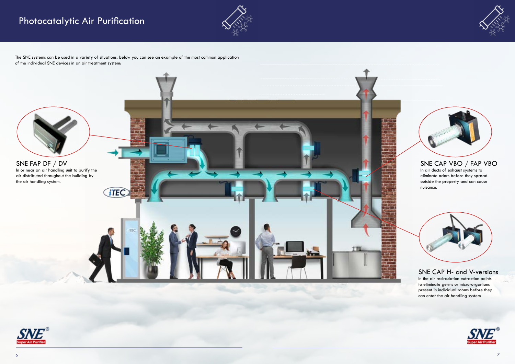# Photocatalytic Air Purification









### SNE CAP H- and V-versions

In the air recirculation extraction points to eliminate germs or micro-organisms present in individual rooms before they can enter the air handling system



### SNE CAP VBO / FAP VBO

In air ducts of exhaust systems to eliminate odors before they spread outside the property and can cause nuisance.



The SNE systems can be used in a variety of situations, below you can see an example of the most common application of the individual SNE devices in an air treatment system: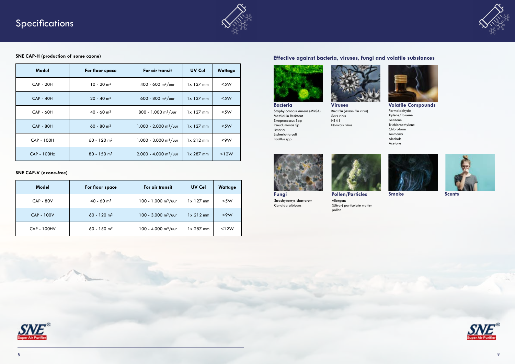



### **Effective against bacteria, viruses, fungi and volatile substances**





**Smoke Scents**









Strachybotrys chartarum Candida albicans

Bacillus spp



Bird Flu (Avian Flu virus) Sars virus H1N1 Norwalk virus



**Volatile Compounds** Formaldehyde Xylene/Toluene benzene Trichloroethylene Chloroform Ammonia Alcohols Acetone

Allergens (Ultra-) particulate matter pollen



| Model              | For floor space           | For air transit                   | <b>UV Cel</b>     | <b>Wattage</b> |
|--------------------|---------------------------|-----------------------------------|-------------------|----------------|
| <b>CAP - 80V</b>   | $40 - 60$ m <sup>2</sup>  | $100 - 1.000$ m <sup>3</sup> /uur | $1x$ 127 mm       | $<$ 5W         |
| <b>CAP - 100V</b>  | $60 - 120$ m <sup>2</sup> | 100 - 3.000 m <sup>3</sup> /uur   | $1 \times 212$ mm | $<$ 9 W        |
| <b>CAP - 100HV</b> | $60 - 150$ m <sup>2</sup> | 100 - 4.000 m <sup>3</sup> /uur   | $1 \times 287$ mm | < 12W          |

| <b>Model</b>       | For floor space           | For air transit                     | <b>UV Cel</b>     | <b>Wattage</b> |
|--------------------|---------------------------|-------------------------------------|-------------------|----------------|
| <b>CAP - 20H</b>   | $10 - 20$ m <sup>2</sup>  | 400 - 600 m <sup>3</sup> /uur       | $1x$ 127 mm       | $<$ 5W         |
| <b>CAP - 40H</b>   | $20 - 40$ m <sup>2</sup>  | $600 - 800$ m <sup>3</sup> /uur     | $1x$ 127 mm       | $<$ 5W         |
| <b>CAP - 60H</b>   | $40 - 60$ m <sup>2</sup>  | 800 - 1.000 m <sup>3</sup> /uur     | $1x$ 127 mm       | $<$ 5W         |
| <b>CAP - 80H</b>   | $60 - 80$ m <sup>2</sup>  | $1.000 - 2.000$ m <sup>3</sup> /uur | $1x$ 127 mm       | $<$ 5W         |
| CAP - 100H         | $60 - 120$ m <sup>2</sup> | $1.000 - 3.000$ m <sup>3</sup> /uur | $1 \times 212$ mm | $<$ 9 $W$      |
| <b>CAP - 100Hz</b> | $80 - 150$ m <sup>2</sup> | $2.000 - 4.000$ m <sup>3</sup> /uur | $1 \times 287$ mm | <12W           |



#### **SNE CAP-H (production of some ozone)**

#### **SNE CAP-V (ozone-free)**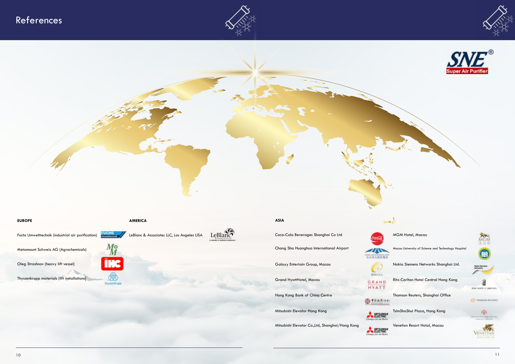







### $\sim$

Galaxy Entertain Group, Macau Nokia Siemens Networks Shanghai Ltd.<br>Nokia Siemens Networks Shanghai Ltd.

GRAND Ritz-Carlton Hotel Central Hong Kong

Hong Kong Bank of China Centre Thomson Reuters, Shanghai Office<br>
Thomson Reuters, Shanghai Office

Mitsubishi Elevator Hong Kong TsimShaShui Plaza, Hong Kong TsimShaShui Plaza, Hong Kong



**EUROPE AMERICA**

番

thyssenkn



Fuchs Umwelttechnik (industrial air purification) **FUCHS** LeBlanc & Associates LLC, Los Angeles USA



Metamount Schweiz AG (Agrochemicals)

Oleg Strashnov (heavy lift vessel)

Thyssenkrupp materials (lift installations)

**ASIA**

Coca-Cola Beverages Shanghai Co Ltd MGM MGM Hotel, Macau

Chang Sha Huanghua International Airport Macau University of Science and Technology Hospital



**BROGES HYATT** 



### References